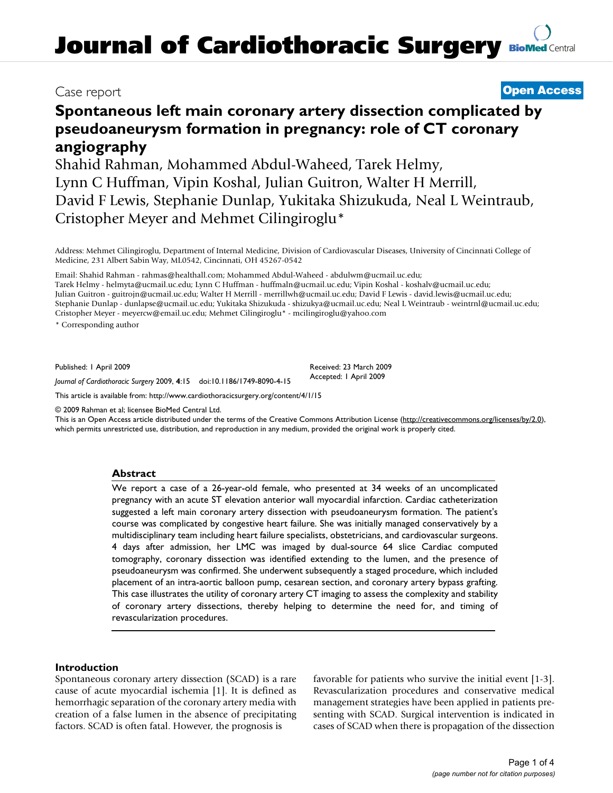# **Journal of Cardiothoracic Surgery [BioMed](http://www.biomedcentral.com/) Central**

## Case report **[Open Access](http://www.biomedcentral.com/info/about/charter/)**

# **Spontaneous left main coronary artery dissection complicated by pseudoaneurysm formation in pregnancy: role of CT coronary angiography**

Shahid Rahman, Mohammed Abdul-Waheed, Tarek Helmy, Lynn C Huffman, Vipin Koshal, Julian Guitron, Walter H Merrill, David F Lewis, Stephanie Dunlap, Yukitaka Shizukuda, Neal L Weintraub, Cristopher Meyer and Mehmet Cilingiroglu\*

Address: Mehmet Cilingiroglu, Department of Internal Medicine, Division of Cardiovascular Diseases, University of Cincinnati College of Medicine, 231 Albert Sabin Way, ML0542, Cincinnati, OH 45267-0542

Email: Shahid Rahman - rahmas@healthall.com; Mohammed Abdul-Waheed - abdulwm@ucmail.uc.edu;

Tarek Helmy - helmyta@ucmail.uc.edu; Lynn C Huffman - huffmaln@ucmail.uc.edu; Vipin Koshal - koshalv@ucmail.uc.edu; Julian Guitron - guitrojn@ucmail.uc.edu; Walter H Merrill - merrillwh@ucmail.uc.edu; David F Lewis - david.lewis@ucmail.uc.edu; Stephanie Dunlap - dunlapse@ucmail.uc.edu; Yukitaka Shizukuda - shizukya@ucmail.uc.edu; Neal L Weintraub - weintrnl@ucmail.uc.edu; Cristopher Meyer - meyercw@email.uc.edu; Mehmet Cilingiroglu\* - mcilingiroglu@yahoo.com

\* Corresponding author

Published: 1 April 2009

Received: 23 March 2009 Accepted: 1 April 2009

*Journal of Cardiothoracic Surgery* 2009, **4**:15 doi:10.1186/1749-8090-4-15

[This article is available from: http://www.cardiothoracicsurgery.org/content/4/1/15](http://www.cardiothoracicsurgery.org/content/4/1/15)

© 2009 Rahman et al; licensee BioMed Central Ltd.

This is an Open Access article distributed under the terms of the Creative Commons Attribution License [\(http://creativecommons.org/licenses/by/2.0\)](http://creativecommons.org/licenses/by/2.0), which permits unrestricted use, distribution, and reproduction in any medium, provided the original work is properly cited.

#### **Abstract**

We report a case of a 26-year-old female, who presented at 34 weeks of an uncomplicated pregnancy with an acute ST elevation anterior wall myocardial infarction. Cardiac catheterization suggested a left main coronary artery dissection with pseudoaneurysm formation. The patient's course was complicated by congestive heart failure. She was initially managed conservatively by a multidisciplinary team including heart failure specialists, obstetricians, and cardiovascular surgeons. 4 days after admission, her LMC was imaged by dual-source 64 slice Cardiac computed tomography, coronary dissection was identified extending to the lumen, and the presence of pseudoaneurysm was confirmed. She underwent subsequently a staged procedure, which included placement of an intra-aortic balloon pump, cesarean section, and coronary artery bypass grafting. This case illustrates the utility of coronary artery CT imaging to assess the complexity and stability of coronary artery dissections, thereby helping to determine the need for, and timing of revascularization procedures.

#### **Introduction**

Spontaneous coronary artery dissection (SCAD) is a rare cause of acute myocardial ischemia [[1](#page-3-0)]. It is defined as hemorrhagic separation of the coronary artery media with creation of a false lumen in the absence of precipitating factors. SCAD is often fatal. However, the prognosis is

favorable for patients who survive the initial event [\[1-](#page-3-0)[3](#page-3-1)]. Revascularization procedures and conservative medical management strategies have been applied in patients presenting with SCAD. Surgical intervention is indicated in cases of SCAD when there is propagation of the dissection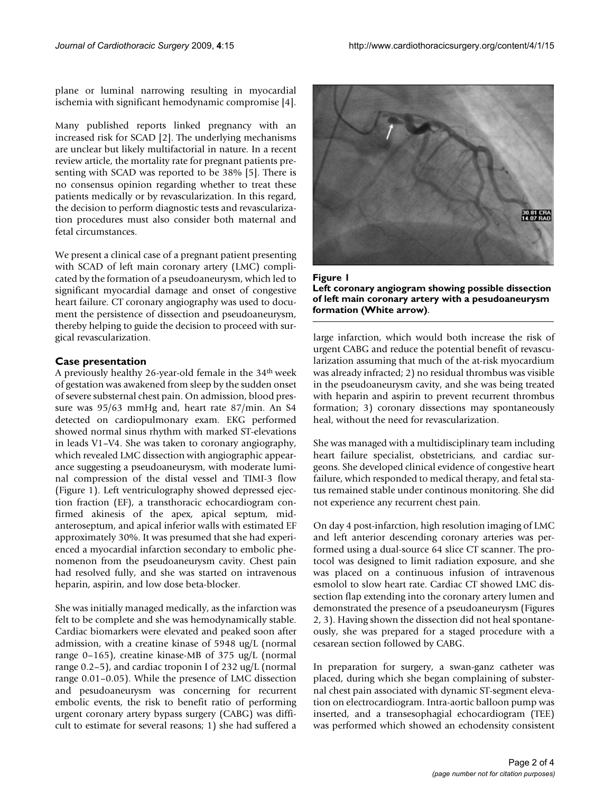plane or luminal narrowing resulting in myocardial ischemia with significant hemodynamic compromise [[4](#page-3-2)].

Many published reports linked pregnancy with an increased risk for SCAD [\[2](#page-3-3)]. The underlying mechanisms are unclear but likely multifactorial in nature. In a recent review article, the mortality rate for pregnant patients presenting with SCAD was reported to be 38% [\[5\]](#page-3-4). There is no consensus opinion regarding whether to treat these patients medically or by revascularization. In this regard, the decision to perform diagnostic tests and revascularization procedures must also consider both maternal and fetal circumstances.

We present a clinical case of a pregnant patient presenting with SCAD of left main coronary artery (LMC) complicated by the formation of a pseudoaneurysm, which led to significant myocardial damage and onset of congestive heart failure. CT coronary angiography was used to document the persistence of dissection and pseudoaneurysm, thereby helping to guide the decision to proceed with surgical revascularization.

#### **Case presentation**

A previously healthy 26-year-old female in the 34th week of gestation was awakened from sleep by the sudden onset of severe substernal chest pain. On admission, blood pressure was 95/63 mmHg and, heart rate 87/min. An S4 detected on cardiopulmonary exam. EKG performed showed normal sinus rhythm with marked ST-elevations in leads V1–V4. She was taken to coronary angiography, which revealed LMC dissection with angiographic appearance suggesting a pseudoaneurysm, with moderate luminal compression of the distal vessel and TIMI-3 flow (Figure [1\)](#page-1-0). Left ventriculography showed depressed ejection fraction (EF), a transthoracic echocardiogram confirmed akinesis of the apex, apical septum, midanteroseptum, and apical inferior walls with estimated EF approximately 30%. It was presumed that she had experienced a myocardial infarction secondary to embolic phenomenon from the pseudoaneurysm cavity. Chest pain had resolved fully, and she was started on intravenous heparin, aspirin, and low dose beta-blocker.

She was initially managed medically, as the infarction was felt to be complete and she was hemodynamically stable. Cardiac biomarkers were elevated and peaked soon after admission, with a creatine kinase of 5948 ug/L (normal range 0–165), creatine kinase-MB of 375 ug/L (normal range 0.2–5), and cardiac troponin I of 232 ug/L (normal range 0.01–0.05). While the presence of LMC dissection and pesudoaneurysm was concerning for recurrent embolic events, the risk to benefit ratio of performing urgent coronary artery bypass surgery (CABG) was difficult to estimate for several reasons; 1) she had suffered a

<span id="page-1-0"></span>



large infarction, which would both increase the risk of urgent CABG and reduce the potential benefit of revascularization assuming that much of the at-risk myocardium was already infracted; 2) no residual thrombus was visible in the pseudoaneurysm cavity, and she was being treated with heparin and aspirin to prevent recurrent thrombus formation; 3) coronary dissections may spontaneously heal, without the need for revascularization.

She was managed with a multidisciplinary team including heart failure specialist, obstetricians, and cardiac surgeons. She developed clinical evidence of congestive heart failure, which responded to medical therapy, and fetal status remained stable under continous monitoring. She did not experience any recurrent chest pain.

On day 4 post-infarction, high resolution imaging of LMC and left anterior descending coronary arteries was performed using a dual-source 64 slice CT scanner. The protocol was designed to limit radiation exposure, and she was placed on a continuous infusion of intravenous esmolol to slow heart rate. Cardiac CT showed LMC dissection flap extending into the coronary artery lumen and demonstrated the presence of a pseudoaneurysm (Figures [2](#page-2-0), [3\)](#page-2-1). Having shown the dissection did not heal spontaneously, she was prepared for a staged procedure with a cesarean section followed by CABG.

In preparation for surgery, a swan-ganz catheter was placed, during which she began complaining of substernal chest pain associated with dynamic ST-segment elevation on electrocardiogram. Intra-aortic balloon pump was inserted, and a transesophagial echocardiogram (TEE) was performed which showed an echodensity consistent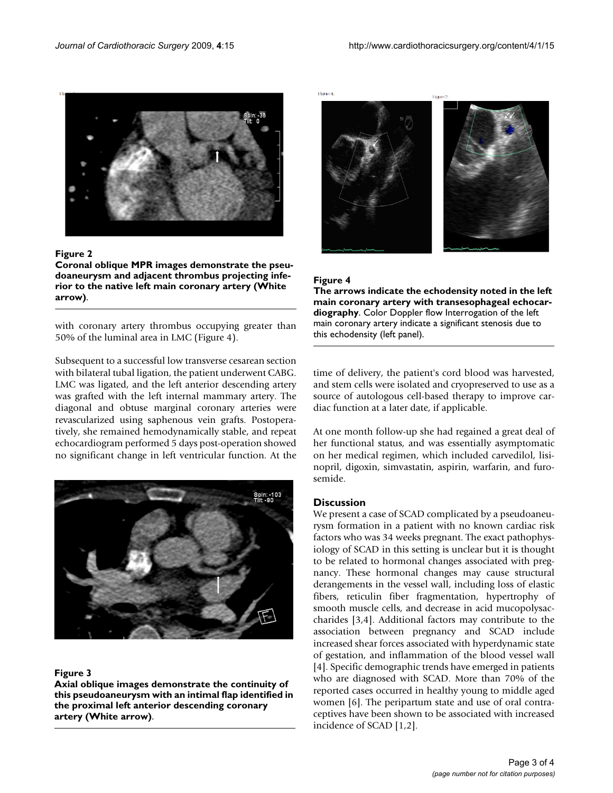<span id="page-2-0"></span>

#### Figure 2

**Coronal oblique MPR images demonstrate the pseudoaneurysm and adjacent thrombus projecting inferior to the native left main coronary artery (White arrow)**.

with coronary artery thrombus occupying greater than 50% of the luminal area in LMC (Figure [4\)](#page-2-2).

Subsequent to a successful low transverse cesarean section with bilateral tubal ligation, the patient underwent CABG. LMC was ligated, and the left anterior descending artery was grafted with the left internal mammary artery. The diagonal and obtuse marginal coronary arteries were revascularized using saphenous vein grafts. Postoperatively, she remained hemodynamically stable, and repeat echocardiogram performed 5 days post-operation showed no significant change in left ventricular function. At the

<span id="page-2-1"></span>

#### Figure 3

**Axial oblique images demonstrate the continuity of this pseudoaneurysm with an intimal flap identified in the proximal left anterior descending coronary artery (White arrow)**.

<span id="page-2-2"></span>**Elizabete** 



#### Figure 4

**The arrows indicate the echodensity noted in the left main coronary artery with transesophageal echocardiography**. Color Doppler flow Interrogation of the left main coronary artery indicate a significant stenosis due to this echodensity (left panel).

time of delivery, the patient's cord blood was harvested, and stem cells were isolated and cryopreserved to use as a source of autologous cell-based therapy to improve cardiac function at a later date, if applicable.

At one month follow-up she had regained a great deal of her functional status, and was essentially asymptomatic on her medical regimen, which included carvedilol, lisinopril, digoxin, simvastatin, aspirin, warfarin, and furosemide.

#### **Discussion**

We present a case of SCAD complicated by a pseudoaneurysm formation in a patient with no known cardiac risk factors who was 34 weeks pregnant. The exact pathophysiology of SCAD in this setting is unclear but it is thought to be related to hormonal changes associated with pregnancy. These hormonal changes may cause structural derangements in the vessel wall, including loss of elastic fibers, reticulin fiber fragmentation, hypertrophy of smooth muscle cells, and decrease in acid mucopolysaccharides [\[3,](#page-3-1)[4\]](#page-3-2). Additional factors may contribute to the association between pregnancy and SCAD include increased shear forces associated with hyperdynamic state of gestation, and inflammation of the blood vessel wall [[4\]](#page-3-2). Specific demographic trends have emerged in patients who are diagnosed with SCAD. More than 70% of the reported cases occurred in healthy young to middle aged women [\[6\]](#page-3-5). The peripartum state and use of oral contraceptives have been shown to be associated with increased incidence of SCAD [\[1,](#page-3-0)[2\]](#page-3-3).